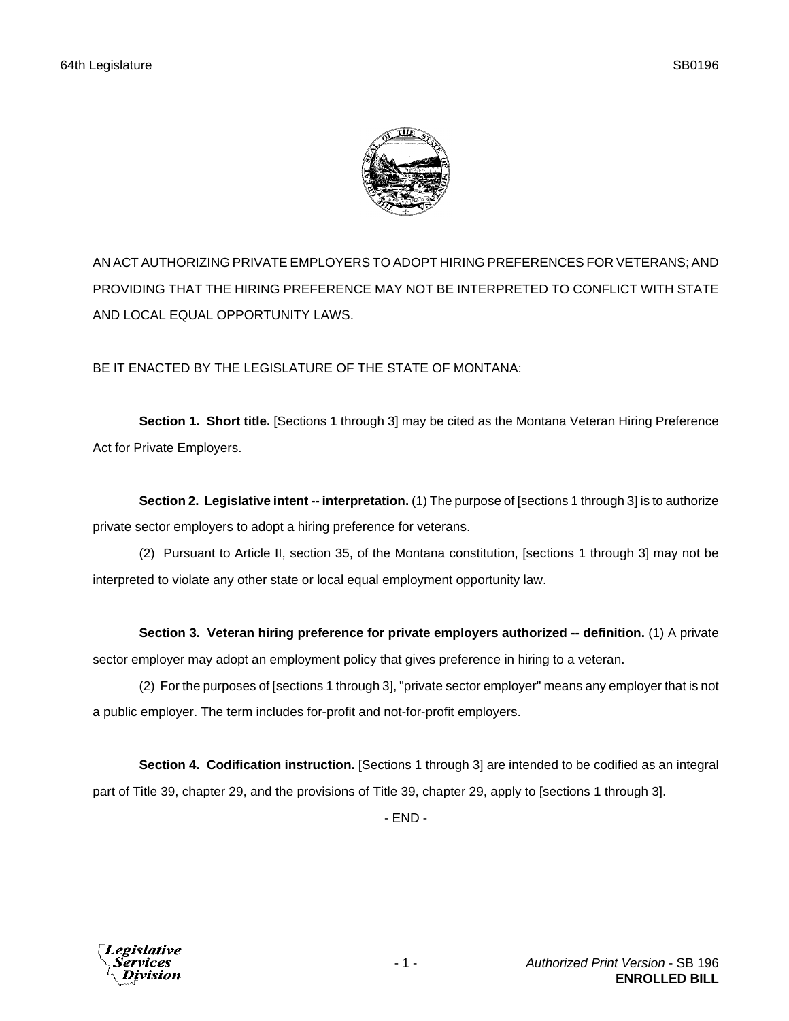

AN ACT AUTHORIZING PRIVATE EMPLOYERS TO ADOPT HIRING PREFERENCES FOR VETERANS; AND PROVIDING THAT THE HIRING PREFERENCE MAY NOT BE INTERPRETED TO CONFLICT WITH STATE AND LOCAL EQUAL OPPORTUNITY LAWS.

BE IT ENACTED BY THE LEGISLATURE OF THE STATE OF MONTANA:

**Section 1. Short title.** [Sections 1 through 3] may be cited as the Montana Veteran Hiring Preference Act for Private Employers.

**Section 2. Legislative intent -- interpretation.** (1) The purpose of [sections 1 through 3] is to authorize private sector employers to adopt a hiring preference for veterans.

(2) Pursuant to Article II, section 35, of the Montana constitution, [sections 1 through 3] may not be interpreted to violate any other state or local equal employment opportunity law.

**Section 3. Veteran hiring preference for private employers authorized -- definition.** (1) A private sector employer may adopt an employment policy that gives preference in hiring to a veteran.

(2) For the purposes of [sections 1 through 3], "private sector employer" means any employer that is not a public employer. The term includes for-profit and not-for-profit employers.

**Section 4. Codification instruction.** [Sections 1 through 3] are intended to be codified as an integral part of Title 39, chapter 29, and the provisions of Title 39, chapter 29, apply to [sections 1 through 3].

- END -

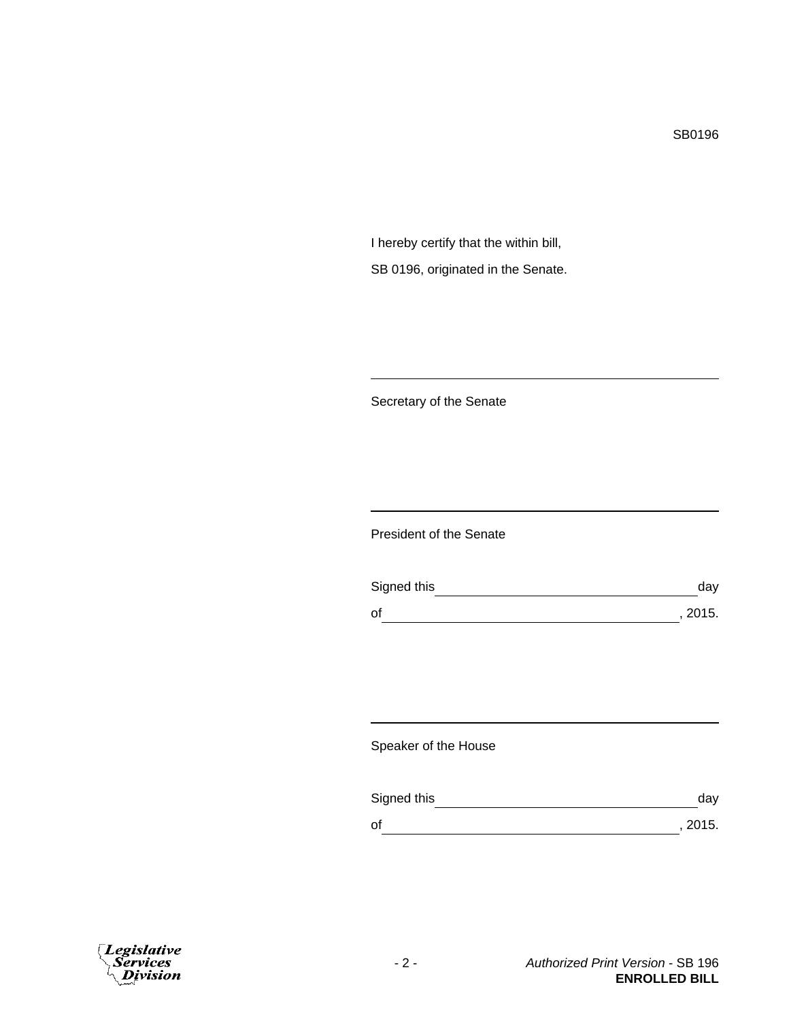SB0196

I hereby certify that the within bill, SB 0196, originated in the Senate.

Secretary of the Senate

President of the Senate

| Signed this | dav     |
|-------------|---------|
| of          | , 2015. |

Speaker of the House

| Signed this | dav     |
|-------------|---------|
| οf          | , 2015. |